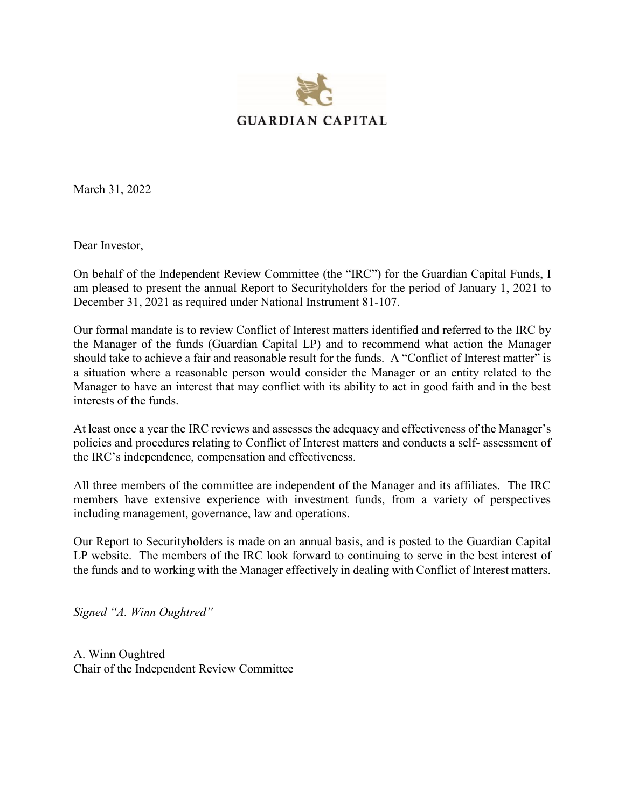

March 31, 2022

Dear Investor,

On behalf of the Independent Review Committee (the "IRC") for the Guardian Capital Funds, I am pleased to present the annual Report to Securityholders for the period of January 1, 2021 to December 31, 2021 as required under National Instrument 81-107.

Our formal mandate is to review Conflict of Interest matters identified and referred to the IRC by the Manager of the funds (Guardian Capital LP) and to recommend what action the Manager should take to achieve a fair and reasonable result for the funds. A "Conflict of Interest matter" is a situation where a reasonable person would consider the Manager or an entity related to the Manager to have an interest that may conflict with its ability to act in good faith and in the best interests of the funds.

At least once a year the IRC reviews and assesses the adequacy and effectiveness of the Manager's policies and procedures relating to Conflict of Interest matters and conducts a self- assessment of the IRC's independence, compensation and effectiveness.

All three members of the committee are independent of the Manager and its affiliates. The IRC members have extensive experience with investment funds, from a variety of perspectives including management, governance, law and operations.

Our Report to Securityholders is made on an annual basis, and is posted to the Guardian Capital LP website. The members of the IRC look forward to continuing to serve in the best interest of the funds and to working with the Manager effectively in dealing with Conflict of Interest matters.

*Signed "A. Winn Oughtred"*

A. Winn Oughtred Chair of the Independent Review Committee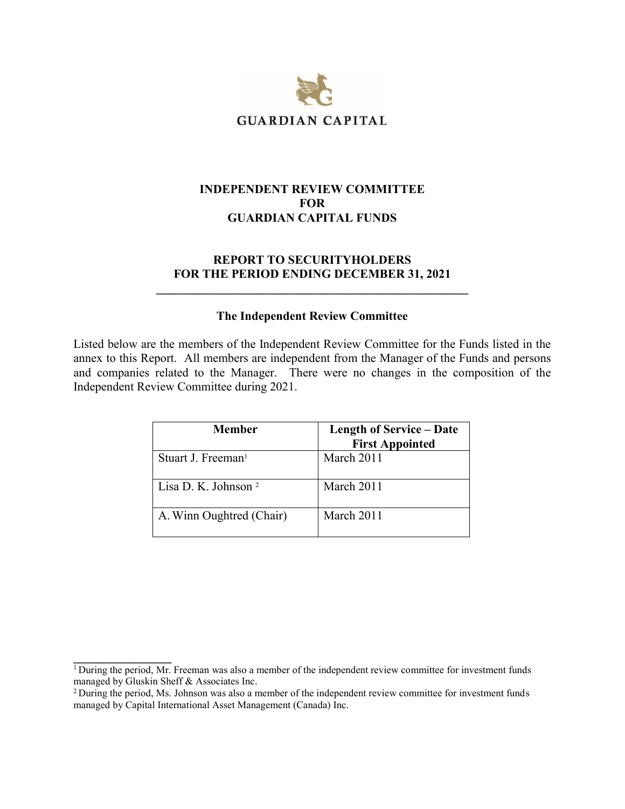

## **INDEPENDENT REVIEW COMMITTEE FOR GUARDIAN CAPITAL FUNDS**

### **REPORT TO SECURITYHOLDERS FOR THE PERIOD ENDING DECEMBER 31, 2021**

**\_\_\_\_\_\_\_\_\_\_\_\_\_\_\_\_\_\_\_\_\_\_\_\_\_\_\_\_\_\_\_\_\_\_\_\_\_\_\_\_\_\_\_\_\_\_\_\_\_\_\_**

#### **The Independent Review Committee**

Listed below are the members of the Independent Review Committee for the Funds listed in the annex to this Report. All members are independent from the Manager of the Funds and persons and companies related to the Manager. There were no changes in the composition of the Independent Review Committee during 2021.

| Member                          | <b>Length of Service – Date</b><br><b>First Appointed</b> |
|---------------------------------|-----------------------------------------------------------|
| Stuart J. Freeman <sup>1</sup>  | March 2011                                                |
| Lisa D. K. Johnson <sup>2</sup> | March 2011                                                |
| A. Winn Oughtred (Chair)        | March 2011                                                |

**\_\_\_\_\_\_\_\_\_\_\_\_\_\_\_\_**

 $1$  During the period, Mr. Freeman was also a member of the independent review committee for investment funds managed by Gluskin Sheff & Associates Inc.

<sup>&</sup>lt;sup>2</sup> During the period, Ms. Johnson was also a member of the independent review committee for investment funds managed by Capital International Asset Management (Canada) Inc.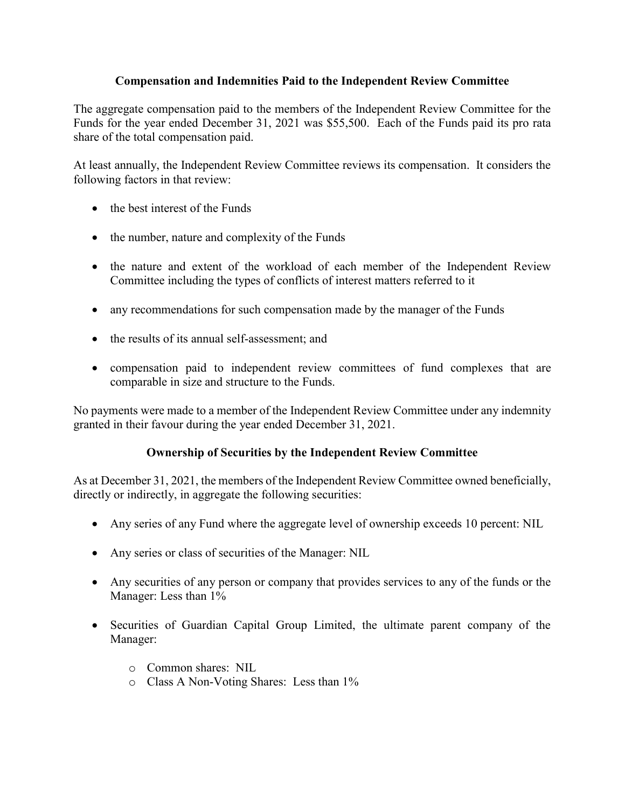# **Compensation and Indemnities Paid to the Independent Review Committee**

The aggregate compensation paid to the members of the Independent Review Committee for the Funds for the year ended December 31, 2021 was \$55,500. Each of the Funds paid its pro rata share of the total compensation paid.

At least annually, the Independent Review Committee reviews its compensation. It considers the following factors in that review:

- the best interest of the Funds
- the number, nature and complexity of the Funds
- the nature and extent of the workload of each member of the Independent Review Committee including the types of conflicts of interest matters referred to it
- any recommendations for such compensation made by the manager of the Funds
- the results of its annual self-assessment; and
- compensation paid to independent review committees of fund complexes that are comparable in size and structure to the Funds.

No payments were made to a member of the Independent Review Committee under any indemnity granted in their favour during the year ended December 31, 2021.

# **Ownership of Securities by the Independent Review Committee**

As at December 31, 2021, the members of the Independent Review Committee owned beneficially, directly or indirectly, in aggregate the following securities:

- Any series of any Fund where the aggregate level of ownership exceeds 10 percent: NIL
- Any series or class of securities of the Manager: NIL
- Any securities of any person or company that provides services to any of the funds or the Manager: Less than 1%
- Securities of Guardian Capital Group Limited, the ultimate parent company of the Manager:
	- o Common shares: NIL
	- o Class A Non-Voting Shares: Less than 1%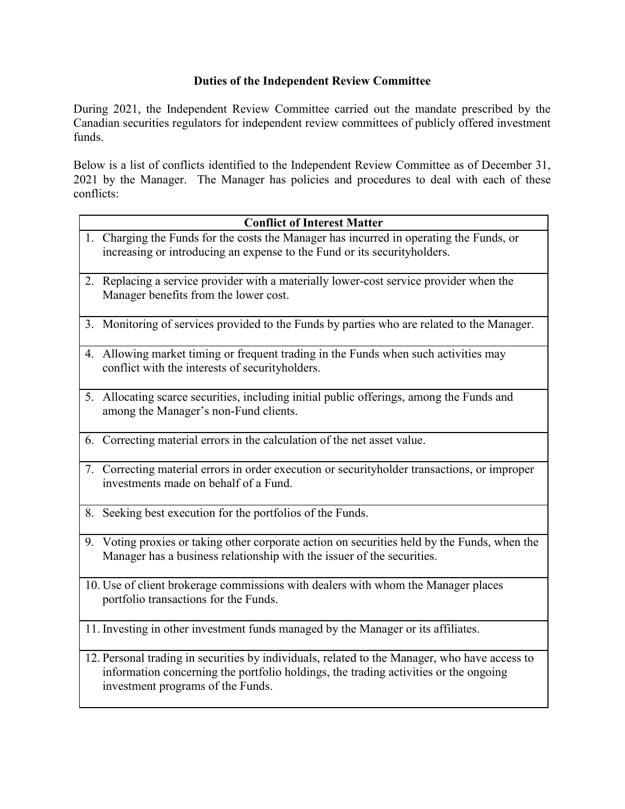# **Duties of the Independent Review Committee**

During 2021, the Independent Review Committee carried out the mandate prescribed by the Canadian securities regulators for independent review committees of publicly offered investment funds.

Below is a list of conflicts identified to the Independent Review Committee as of December 31, 2021 by the Manager. The Manager has policies and procedures to deal with each of these conflicts:

| <b>Conflict of Interest Matter</b>                                                                                                                                                                                         |  |  |
|----------------------------------------------------------------------------------------------------------------------------------------------------------------------------------------------------------------------------|--|--|
| 1. Charging the Funds for the costs the Manager has incurred in operating the Funds, or<br>increasing or introducing an expense to the Fund or its securityholders.                                                        |  |  |
| 2. Replacing a service provider with a materially lower-cost service provider when the<br>Manager benefits from the lower cost.                                                                                            |  |  |
| 3. Monitoring of services provided to the Funds by parties who are related to the Manager.                                                                                                                                 |  |  |
| 4. Allowing market timing or frequent trading in the Funds when such activities may<br>conflict with the interests of securityholders.                                                                                     |  |  |
| 5. Allocating scarce securities, including initial public offerings, among the Funds and<br>among the Manager's non-Fund clients.                                                                                          |  |  |
| 6. Correcting material errors in the calculation of the net asset value.                                                                                                                                                   |  |  |
| 7. Correcting material errors in order execution or securityholder transactions, or improper<br>investments made on behalf of a Fund.                                                                                      |  |  |
| 8. Seeking best execution for the portfolios of the Funds.                                                                                                                                                                 |  |  |
| 9. Voting proxies or taking other corporate action on securities held by the Funds, when the<br>Manager has a business relationship with the issuer of the securities.                                                     |  |  |
| 10. Use of client brokerage commissions with dealers with whom the Manager places<br>portfolio transactions for the Funds.                                                                                                 |  |  |
| 11. Investing in other investment funds managed by the Manager or its affiliates.                                                                                                                                          |  |  |
| 12. Personal trading in securities by individuals, related to the Manager, who have access to<br>information concerning the portfolio holdings, the trading activities or the ongoing<br>investment programs of the Funds. |  |  |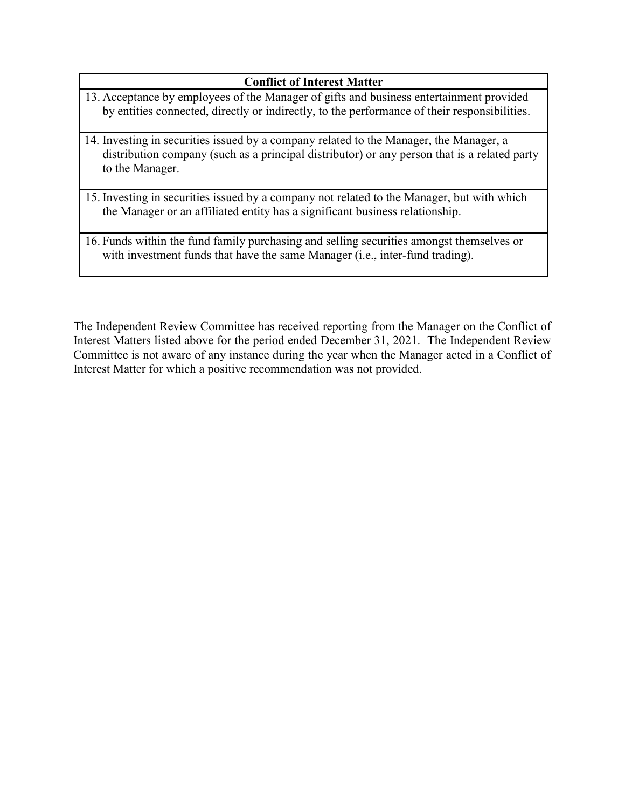# **Conflict of Interest Matter**

- 13. Acceptance by employees of the Manager of gifts and business entertainment provided by entities connected, directly or indirectly, to the performance of their responsibilities.
- 14. Investing in securities issued by a company related to the Manager, the Manager, a distribution company (such as a principal distributor) or any person that is a related party to the Manager.
- 15. Investing in securities issued by a company not related to the Manager, but with which the Manager or an affiliated entity has a significant business relationship.

16. Funds within the fund family purchasing and selling securities amongst themselves or with investment funds that have the same Manager (i.e., inter-fund trading).

The Independent Review Committee has received reporting from the Manager on the Conflict of Interest Matters listed above for the period ended December 31, 2021. The Independent Review Committee is not aware of any instance during the year when the Manager acted in a Conflict of Interest Matter for which a positive recommendation was not provided.